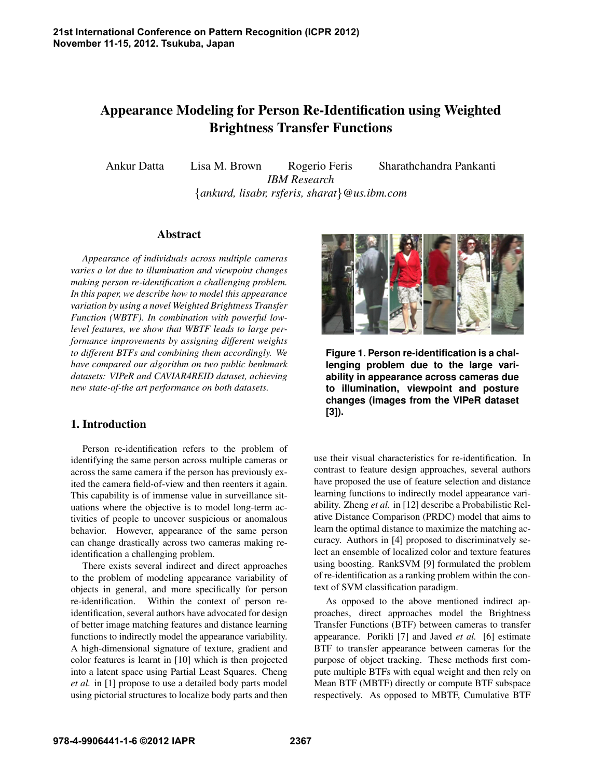# Appearance Modeling for Person Re-Identification using Weighted Brightness Transfer Functions

Ankur Datta Lisa M. Brown Rogerio Feris Sharathchandra Pankanti *IBM Research* {*ankurd, lisabr, rsferis, sharat*}*@us.ibm.com*

# Abstract

*Appearance of individuals across multiple cameras varies a lot due to illumination and viewpoint changes making person re-identification a challenging problem. In this paper, we describe how to model this appearance variation by using a novel Weighted Brightness Transfer Function (WBTF). In combination with powerful lowlevel features, we show that WBTF leads to large performance improvements by assigning different weights to different BTFs and combining them accordingly. We have compared our algorithm on two public benhmark datasets: VIPeR and CAVIAR4REID dataset, achieving new state-of-the art performance on both datasets.*

# 1. Introduction

Person re-identification refers to the problem of identifying the same person across multiple cameras or across the same camera if the person has previously exited the camera field-of-view and then reenters it again. This capability is of immense value in surveillance situations where the objective is to model long-term activities of people to uncover suspicious or anomalous behavior. However, appearance of the same person can change drastically across two cameras making reidentification a challenging problem.

There exists several indirect and direct approaches to the problem of modeling appearance variability of objects in general, and more specifically for person re-identification. Within the context of person reidentification, several authors have advocated for design of better image matching features and distance learning functions to indirectly model the appearance variability. A high-dimensional signature of texture, gradient and color features is learnt in [10] which is then projected into a latent space using Partial Least Squares. Cheng *et al.* in [1] propose to use a detailed body parts model using pictorial structures to localize body parts and then



**Figure 1. Person re-identification is a challenging problem due to the large variability in appearance across cameras due to illumination, viewpoint and posture changes (images from the VIPeR dataset [3]).**

use their visual characteristics for re-identification. In contrast to feature design approaches, several authors have proposed the use of feature selection and distance learning functions to indirectly model appearance variability. Zheng *et al.* in [12] describe a Probabilistic Relative Distance Comparison (PRDC) model that aims to learn the optimal distance to maximize the matching accuracy. Authors in [4] proposed to discriminatvely select an ensemble of localized color and texture features using boosting. RankSVM [9] formulated the problem of re-identification as a ranking problem within the context of SVM classification paradigm.

As opposed to the above mentioned indirect approaches, direct approaches model the Brightness Transfer Functions (BTF) between cameras to transfer appearance. Porikli [7] and Javed *et al.* [6] estimate BTF to transfer appearance between cameras for the purpose of object tracking. These methods first compute multiple BTFs with equal weight and then rely on Mean BTF (MBTF) directly or compute BTF subspace respectively. As opposed to MBTF, Cumulative BTF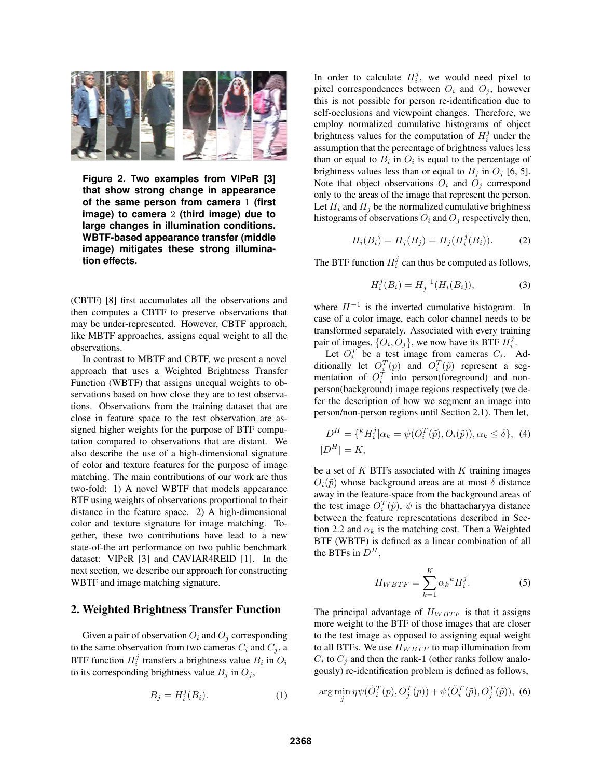

**Figure 2. Two examples from VIPeR [3] that show strong change in appearance of the same person from camera** 1 **(first image) to camera** 2 **(third image) due to large changes in illumination conditions. WBTF-based appearance transfer (middle image) mitigates these strong illumination effects.**

(CBTF) [8] first accumulates all the observations and then computes a CBTF to preserve observations that may be under-represented. However, CBTF approach, like MBTF approaches, assigns equal weight to all the observations.

In contrast to MBTF and CBTF, we present a novel approach that uses a Weighted Brightness Transfer Function (WBTF) that assigns unequal weights to observations based on how close they are to test observations. Observations from the training dataset that are close in feature space to the test observation are assigned higher weights for the purpose of BTF computation compared to observations that are distant. We also describe the use of a high-dimensional signature of color and texture features for the purpose of image matching. The main contributions of our work are thus two-fold: 1) A novel WBTF that models appearance BTF using weights of observations proportional to their distance in the feature space. 2) A high-dimensional color and texture signature for image matching. Together, these two contributions have lead to a new state-of-the art performance on two public benchmark dataset: VIPeR [3] and CAVIAR4REID [1]. In the next section, we describe our approach for constructing WBTF and image matching signature.

#### 2. Weighted Brightness Transfer Function

Given a pair of observation  $O_i$  and  $O_j$  corresponding to the same observation from two cameras  $C_i$  and  $C_j$ , a BTF function  $H_i^j$  transfers a brightness value  $B_i$  in  $O_i$ to its corresponding brightness value  $B_j$  in  $O_j$ ,

$$
B_j = H_i^j(B_i). \tag{1}
$$

In order to calculate  $H_i^j$ , we would need pixel to pixel correspondences between  $O_i$  and  $O_j$ , however this is not possible for person re-identification due to self-occlusions and viewpoint changes. Therefore, we employ normalized cumulative histograms of object brightness values for the computation of  $H_i^j$  under the assumption that the percentage of brightness values less than or equal to  $B_i$  in  $O_i$  is equal to the percentage of brightness values less than or equal to  $B_j$  in  $O_j$  [6, 5]. Note that object observations  $O_i$  and  $O_j$  correspond only to the areas of the image that represent the person. Let  $H_i$  and  $H_j$  be the normalized cumulative brightness histograms of observations  $O_i$  and  $O_j$  respectively then,

$$
H_i(B_i) = H_j(B_j) = H_j(H_i^j(B_i)).
$$
 (2)

The BTF function  $H_i^j$  can thus be computed as follows,

$$
H_i^j(B_i) = H_j^{-1}(H_i(B_i)),
$$
\n(3)

where  $H^{-1}$  is the inverted cumulative histogram. In case of a color image, each color channel needs to be transformed separately. Associated with every training pair of images,  $\{O_i, O_j\}$ , we now have its BTF  $H_i^j$ .

Let  $O_i^T$  be a test image from cameras  $C_i$ . Additionally let  $O_i^T(p)$  and  $O_i^T(\tilde{p})$  represent a segmentation of  $O_i^T$  into person(foreground) and nonperson(background) image regions respectively (we defer the description of how we segment an image into person/non-person regions until Section 2.1). Then let,

$$
D^{H} = \{ {}^{k}H_{i}^{j} | \alpha_{k} = \psi(O_{i}^{T}(\tilde{p}), O_{i}(\tilde{p})), \alpha_{k} \leq \delta \}, \tag{4}
$$

$$
|D^{H}| = K,
$$

be a set of  $K$  BTFs associated with  $K$  training images  $O_i(\tilde{p})$  whose background areas are at most  $\delta$  distance away in the feature-space from the background areas of the test image  $O_i^T(\tilde{p})$ ,  $\psi$  is the bhattacharyya distance between the feature representations described in Section 2.2 and  $\alpha_k$  is the matching cost. Then a Weighted BTF (WBTF) is defined as a linear combination of all the BTFs in  $D^H$ .

$$
H_{WBTF} = \sum_{k=1}^{K} \alpha_k{}^k H_i^j.
$$
 (5)

The principal advantage of  $H_{WBTF}$  is that it assigns more weight to the BTF of those images that are closer to the test image as opposed to assigning equal weight to all BTFs. We use  $H_{WBTF}$  to map illumination from  $C_i$  to  $C_j$  and then the rank-1 (other ranks follow analogously) re-identification problem is defined as follows,

$$
\arg\min_{j} \eta \psi(\tilde{O}_i^T(p), O_j^T(p)) + \psi(\tilde{O}_i^T(\tilde{p}), O_j^T(\tilde{p})), \tag{6}
$$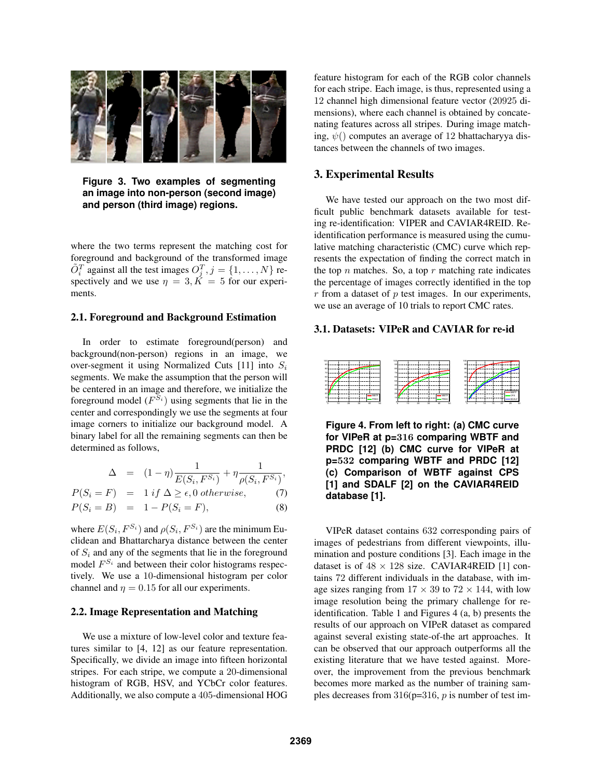

**Figure 3. Two examples of segmenting an image into non-person (second image) and person (third image) regions.**

where the two terms represent the matching cost for foreground and background of the transformed image  $\tilde{O}_i^T$  against all the test images  $O_j^T$ ,  $j = \{1, ..., N\}$  respectively and we use  $\eta = 3, K = 5$  for our experiments.

#### 2.1. Foreground and Background Estimation

In order to estimate foreground(person) and background(non-person) regions in an image, we over-segment it using Normalized Cuts [11] into  $S_i$ segments. We make the assumption that the person will be centered in an image and therefore, we initialize the foreground model  $(F^{S_i})$  using segments that lie in the center and correspondingly we use the segments at four image corners to initialize our background model. A binary label for all the remaining segments can then be determined as follows,

$$
\Delta = (1 - \eta) \frac{1}{E(S_i, F^{S_i})} + \eta \frac{1}{\rho(S_i, F^{S_i})},
$$

$$
P(S_i = F) = 1 \text{ if } \Delta \ge \epsilon, 0 \text{ otherwise,}
$$
 (7)

$$
P(S_i = B) = 1 - P(S_i = F), \t\t(8)
$$

where  $E(S_i, F^{S_i})$  and  $\rho(S_i, F^{S_i})$  are the minimum Euclidean and Bhattarcharya distance between the center of  $S_i$  and any of the segments that lie in the foreground model  $F^{S_i}$  and between their color histograms respectively. We use a 10-dimensional histogram per color channel and  $\eta = 0.15$  for all our experiments.

#### 2.2. Image Representation and Matching

We use a mixture of low-level color and texture features similar to [4, 12] as our feature representation. Specifically, we divide an image into fifteen horizontal stripes. For each stripe, we compute a 20-dimensional histogram of RGB, HSV, and YCbCr color features. Additionally, we also compute a 405-dimensional HOG feature histogram for each of the RGB color channels for each stripe. Each image, is thus, represented using a 12 channel high dimensional feature vector (20925 dimensions), where each channel is obtained by concatenating features across all stripes. During image matching,  $\psi$ () computes an average of 12 bhattacharyya distances between the channels of two images.

# 3. Experimental Results

We have tested our approach on the two most difficult public benchmark datasets available for testing re-identification: VIPER and CAVIAR4REID. Reidentification performance is measured using the cumulative matching characteristic (CMC) curve which represents the expectation of finding the correct match in the top  $n$  matches. So, a top  $r$  matching rate indicates the percentage of images correctly identified in the top  $r$  from a dataset of  $p$  test images. In our experiments, we use an average of 10 trials to report CMC rates.

# 3.1. Datasets: VIPeR and CAVIAR for re-id



**Figure 4. From left to right: (a) CMC curve for VIPeR at p=**316 **comparing WBTF and PRDC [12] (b) CMC curve for VIPeR at p=**532 **comparing WBTF and PRDC [12] (c) Comparison of WBTF against CPS [1] and SDALF [2] on the CAVIAR4REID database [1].**

VIPeR dataset contains 632 corresponding pairs of images of pedestrians from different viewpoints, illumination and posture conditions [3]. Each image in the dataset is of  $48 \times 128$  size. CAVIAR4REID [1] contains 72 different individuals in the database, with image sizes ranging from  $17 \times 39$  to  $72 \times 144$ , with low image resolution being the primary challenge for reidentification. Table 1 and Figures 4 (a, b) presents the results of our approach on VIPeR dataset as compared against several existing state-of-the art approaches. It can be observed that our approach outperforms all the existing literature that we have tested against. Moreover, the improvement from the previous benchmark becomes more marked as the number of training samples decreases from  $316(p=316, p)$  is number of test im-